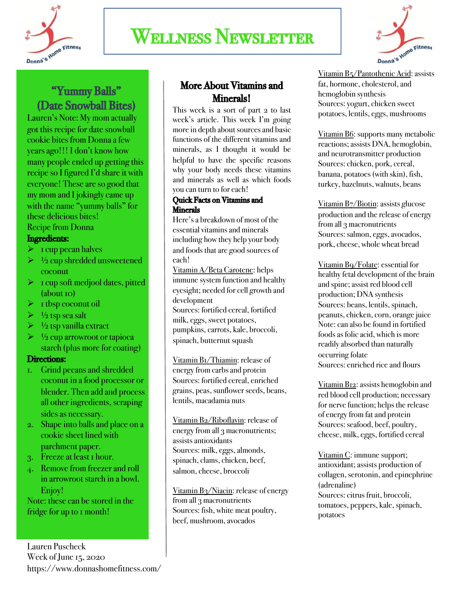

## Wellness Newsletter



## "Yummy Balls" (Date Snowball Bites)<br>Lauren's Note: My mom actually

got this recipe for date snowball cookie bites from Donnaa few years ago!!! I don't know how many people ended up getting this recipe so I figured I'd share it with everyone! These are so good that my mom and I jokingly came up with the name "yummy balls" for these delicious bites! Recipe from Donna

### Ingredients:

- $\triangleright$  1 cup pecan halves
- $\triangleright$  <sup>1</sup>/<sub>2</sub> cup shredded unsweetened coconut
- $\triangleright$  1 cup soft medjool dates, pitted (about 10)
- $\triangleright$  1 tbsp coconut oil
- $\triangleright$   $\frac{1}{2}$  tsp sea salt
- $\triangleright$  <sup>1</sup>/<sub>2</sub> tsp vanilla extract
- $\triangleright$   $\frac{1}{2}$  cup arrowroot or tapioca starch (plus more for coating)

### Directions:

- 1. Grind pecans and shredded coconut in a food processor or blender. Then add and process all other ingredients, scraping sides as necessary.
- 2. Shape into balls and place on a cookie sheet lined with parchment paper.
- 3. Freeze at least 1 hour.
- 4. Remove from freezer and roll in arrowroot starch in a bowl. Enjoy!

Note: these can be stored in the fridge for up to 1 month!

### More About Vitamins and Minerals!

This week is a sort of part 2 to last week's article. This week I'm going more in depth about sources and basic functions of the different vitamins and minerals, as I thought it would be helpful to have the specific reasons why your body needs these vitamins and minerals as well as which foods you can turn to for each!

#### Quick Facts on Vitamins and **Minerals**

Here's a breakdown of most of the essential vitamins and minerals including how they help your body and foods that are good sources of each!

Vitamin A/Beta Carotene: helps immune system function and healthy eyesight; needed for cell growth and development

Sources: fortified cereal, fortified milk, eggs, sweet potatoes, pumpkins, carrots, kale, broccoli, spinach, butternut squash

Vitamin B1/Thiamin: release of energy from carbs and protein Sources: fortified cereal, enriched grains, peas, sunflower seeds, beans, lentils, macadamia nuts

Vitamin B2/Riboflavin: release of energy from all 3 macronutrients; assists antioxidants Sources: milk, eggs, almonds, spinach, clams, chicken, beef, salmon, cheese, broccoli

Vitamin B<sub>3</sub>/Niacin: release of energy from all 3 macronutrients Sources: fish, white meat poultry, beef, mushroom, avocados

Vitamin B5/Pantothenic Acid: assists fat, hormone, cholesterol, and hemoglobin synthesis Sources: yogurt, chicken sweet potatoes, lentils, eggs, mushrooms

Vitamin B6: supports many metabolic reactions; assists DNA, hemoglobin, and neurotransmitter production Sources: chicken, pork, cereal, banana, potatoes (with skin), fish, turkey, hazelnuts, walnuts, beans

Vitamin B7/Biotin: assists glucose production and the release of energy from all 3 macronutrients Sources: salmon, eggs, avocados, pork, cheese, whole wheat bread

Vitamin B9/Folate: essential for healthy fetal development of the brain and spine; assist red blood cell production; DNA synthesis Sources: beans, lentils, spinach, peanuts, chicken, corn, orange juice Note: can also be found in fortified foods as folic acid, which is more readily absorbed than naturally occurring folate Sources: enriched rice and flours

Vitamin B12: assists hemoglobin and red blood cell production; necessary for nerve function; helps the release of energy from fat and protein Sources: seafood, beef, poultry, cheese, milk, eggs, fortified cereal

Vitamin C: immune support; antioxidant; assists production of collagen, serotonin, and epinephrine (adrenaline) Sources: citrus fruit, broccoli, tomatoes, peppers, kale, spinach, potatoes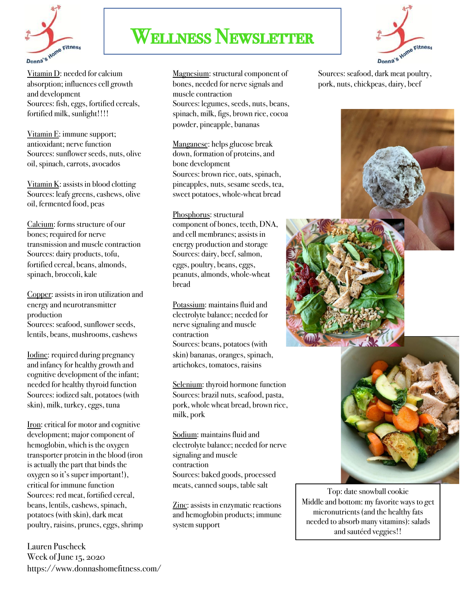

## Wellness Newsletter



Vitamin D: needed for calcium absorption; influences cell growth and development Sources: fish, eggs, fortified cereals, fortified milk, sunlight!!!!

Vitamin E: immune support; antioxidant; nerve function Sources: sunflower seeds, nuts, olive oil, spinach, carrots, avocados

Vitamin  $K$ : assists in blood clotting Sources: leafy greens, cashews, olive oil, fermented food, peas

Calcium: forms structure of our bones; required for nerve transmission and muscle contraction Sources: dairy products, tofu, fortified cereal, beans, almonds, spinach, broccoli, kale

Copper: assists in iron utilization and energy and neurotransmitter production Sources: seafood, sunflower seeds, lentils, beans, mushrooms, cashews

Iodine: required during pregnancy and infancy for healthy growth and cognitive development of the infant; needed for healthy thyroid function Sources: iodized salt, potatoes (with skin), milk, turkey, eggs, tuna

Iron: critical for motor and cognitive development; major component of hemoglobin, which is the oxygen transporter protein in the blood (iron is actually the part that binds the oxygen so it's super important!), critical for immune function Sources: red meat, fortified cereal, beans, lentils, cashews, spinach, potatoes (with skin), dark meat poultry, raisins, prunes, eggs, shrimp

Lauren Puscheck Week of June 15, 2020 https://www.donnashomefitness.com/

Magnesium: structural component of bones, needed for nerve signals and muscle contraction Sources: legumes, seeds, nuts, beans, spinach, milk, figs, brown rice, cocoa powder, pineapple, bananas

Manganese: helps glucose break down, formation of proteins, and bone development Sources: brown rice, oats, spinach, pineapples, nuts, sesame seeds, tea, sweet potatoes, whole-wheat bread

Phosphorus: structural component of bones, teeth, DNA, and cell membranes; assists in energy production and storage Sources: dairy, beef, salmon, eggs, poultry, beans, eggs, peanuts, almonds, whole-wheat bread

Potassium: maintains fluid and electrolyte balance; needed for nerve signaling and muscle contraction Sources: beans, potatoes (with skin) bananas, oranges, spinach, artichokes, tomatoes, raisins

Selenium: thyroid hormone function Sources: brazil nuts, seafood, pasta, pork, whole wheat bread, brown rice, milk, pork

Sodium: maintains fluid and electrolyte balance; needed for nerve signaling and muscle contraction Sources: baked goods, processed meats, canned soups, table salt

Zinc: assists in enzymatic reactions and hemoglobin products; immune system support

Sources: seafood, dark meat poultry, pork, nuts, chickpeas, dairy, beef





Top: date snowball cookie Middle and bottom: my favorite ways to get micronutrients (and the healthy fats needed to absorb many vitamins): salads and sautéed veggies!!